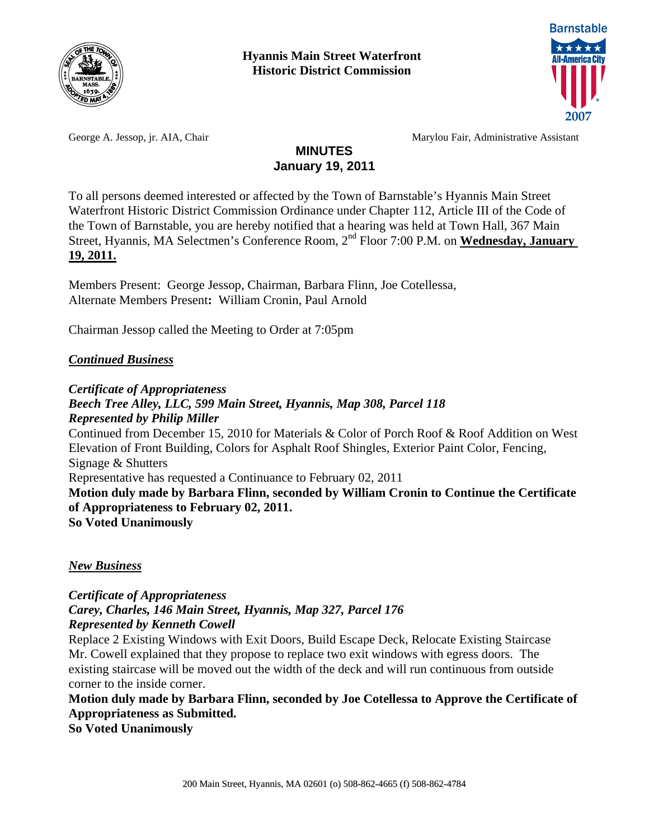



George A. Jessop, jr. AIA, Chair Marylou Fair, Administrative Assistant

## **MINUTES January 19, 2011**

To all persons deemed interested or affected by the Town of Barnstable's Hyannis Main Street Waterfront Historic District Commission Ordinance under Chapter 112, Article III of the Code of the Town of Barnstable, you are hereby notified that a hearing was held at Town Hall, 367 Main Street, Hyannis, MA Selectmen's Conference Room, 2nd Floor 7:00 P.M. on **Wednesday, January 19, 2011.**

Members Present:George Jessop, Chairman, Barbara Flinn, Joe Cotellessa, Alternate Members Present**:** William Cronin, Paul Arnold

Chairman Jessop called the Meeting to Order at 7:05pm

### *Continued Business*

*Certificate of Appropriateness* 

## *Beech Tree Alley, LLC, 599 Main Street, Hyannis, Map 308, Parcel 118 Represented by Philip Miller*  Continued from December 15, 2010 for Materials & Color of Porch Roof & Roof Addition on West Elevation of Front Building, Colors for Asphalt Roof Shingles, Exterior Paint Color, Fencing, Signage & Shutters Representative has requested a Continuance to February 02, 2011 **Motion duly made by Barbara Flinn, seconded by William Cronin to Continue the Certificate**

**of Appropriateness to February 02, 2011.** 

**So Voted Unanimously** 

*New Business*

*Certificate of Appropriateness Carey, Charles, 146 Main Street, Hyannis, Map 327, Parcel 176 Represented by Kenneth Cowell* 

Replace 2 Existing Windows with Exit Doors, Build Escape Deck, Relocate Existing Staircase Mr. Cowell explained that they propose to replace two exit windows with egress doors. The existing staircase will be moved out the width of the deck and will run continuous from outside corner to the inside corner.

**Motion duly made by Barbara Flinn, seconded by Joe Cotellessa to Approve the Certificate of Appropriateness as Submitted.** 

**So Voted Unanimously**